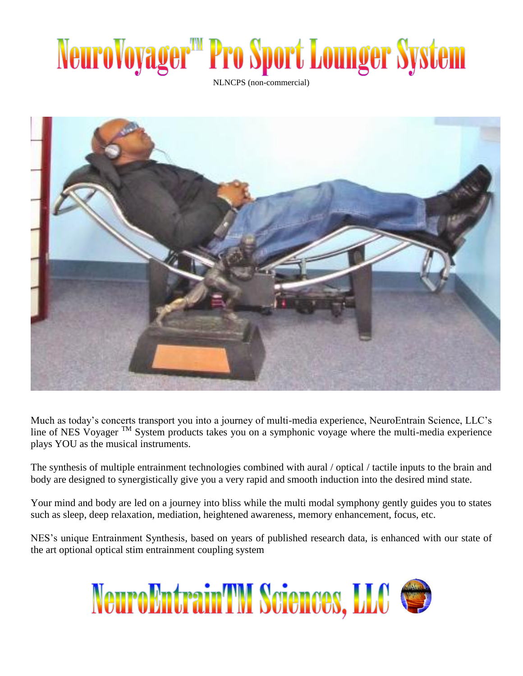## NeuroVoyager<sup>m</sup> Pro Sport Lounger System

NLNCPS (non-commercial)



Much as today's concerts transport you into a journey of multi-media experience, NeuroEntrain Science, LLC's line of NES Voyager TM System products takes you on a symphonic voyage where the multi-media experience plays YOU as the musical instruments.

The synthesis of multiple entrainment technologies combined with aural / optical / tactile inputs to the brain and body are designed to synergistically give you a very rapid and smooth induction into the desired mind state.

Your mind and body are led on a journey into bliss while the multi modal symphony gently guides you to states such as sleep, deep relaxation, mediation, heightened awareness, memory enhancement, focus, etc.

NES's unique Entrainment Synthesis, based on years of published research data, is enhanced with our state of the art optional optical stim entrainment coupling system